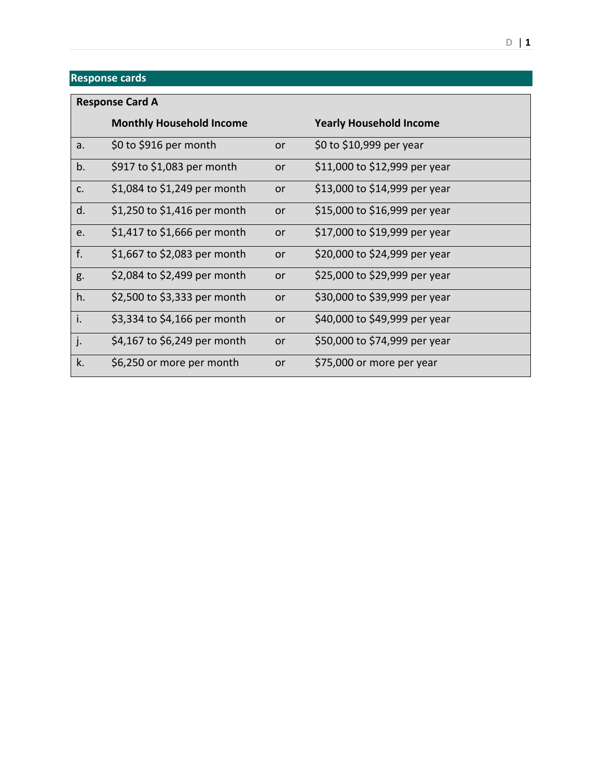| <b>Response Card A</b> |                                 |           |                                |
|------------------------|---------------------------------|-----------|--------------------------------|
|                        | <b>Monthly Household Income</b> |           | <b>Yearly Household Income</b> |
| a.                     | \$0 to \$916 per month          | <b>or</b> | \$0 to \$10,999 per year       |
| b.                     | \$917 to \$1,083 per month      | or        | \$11,000 to \$12,999 per year  |
| c.                     | \$1,084 to \$1,249 per month    | or        | \$13,000 to \$14,999 per year  |
| d.                     | \$1,250 to \$1,416 per month    | <b>or</b> | \$15,000 to \$16,999 per year  |
| e.                     | \$1,417 to \$1,666 per month    | <b>or</b> | \$17,000 to \$19,999 per year  |
| f.                     | \$1,667 to \$2,083 per month    | <b>or</b> | \$20,000 to \$24,999 per year  |
| g.                     | \$2,084 to \$2,499 per month    | <b>or</b> | \$25,000 to \$29,999 per year  |
| h.                     | \$2,500 to \$3,333 per month    | or        | \$30,000 to \$39,999 per year  |
| i.                     | \$3,334 to \$4,166 per month    | or        | \$40,000 to \$49,999 per year  |
| j.                     | \$4,167 to \$6,249 per month    | or        | \$50,000 to \$74,999 per year  |
| k.                     | \$6,250 or more per month       | or        | \$75,000 or more per year      |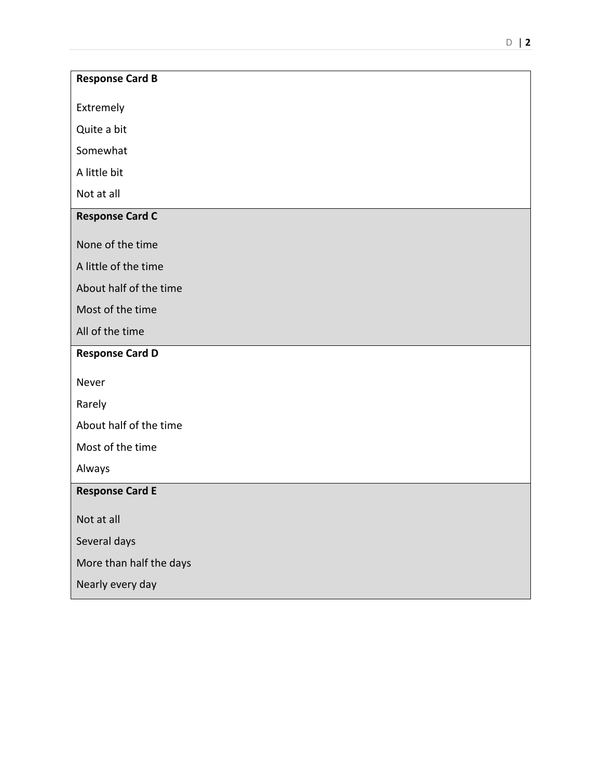## **Response Card B**

Extremely

Quite a bit

Somewhat

A little bit

Not at all

## **Response Card C**

None of the time

A little of the time

About half of the time

Most of the time

All of the time

## **Response Card D**

Never

Rarely

About half of the time

Most of the time

Always

## **Response Card E**

Not at all

Several days

More than half the days

Nearly every day